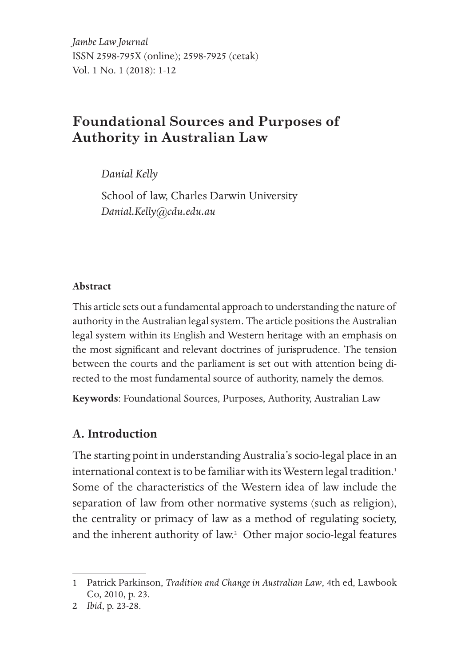# **Foundational Sources and Purposes of Authority in Australian Law**

*Danial Kelly* 

School of law, Charles Darwin University *Danial.Kelly@cdu.edu.au*

#### **Abstract**

This article sets out a fundamental approach to understanding the nature of authority in the Australian legal system. The article positions the Australian legal system within its English and Western heritage with an emphasis on the most significant and relevant doctrines of jurisprudence. The tension between the courts and the parliament is set out with attention being directed to the most fundamental source of authority, namely the demos.

**Keywords**: Foundational Sources, Purposes, Authority, Australian Law

# **A. Introduction**

The starting point in understanding Australia's socio-legal place in an international context is to be familiar with its Western legal tradition.<sup>1</sup> Some of the characteristics of the Western idea of law include the separation of law from other normative systems (such as religion), the centrality or primacy of law as a method of regulating society, and the inherent authority of law.<sup>2</sup> Other major socio-legal features

<sup>1</sup> Patrick Parkinson, *Tradition and Change in Australian Law*, 4th ed, Lawbook Co, 2010, p. 23.

<sup>2</sup> *Ibid*, p. 23-28.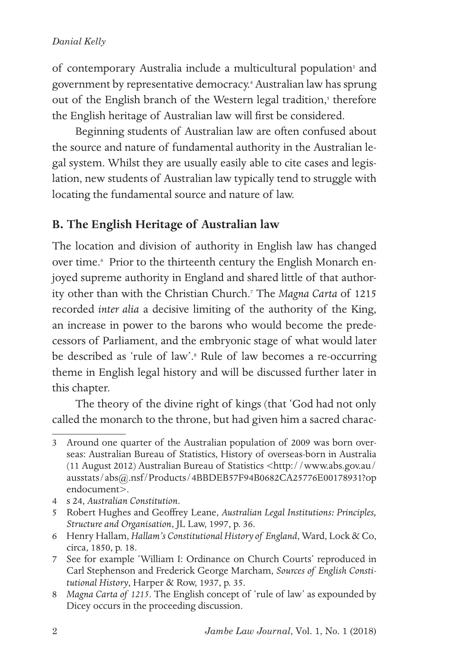of contemporary Australia include a multicultural population<sup>3</sup> and government by representative democracy.4 Australian law has sprung out of the English branch of the Western legal tradition,<sup>5</sup> therefore the English heritage of Australian law will first be considered.

Beginning students of Australian law are often confused about the source and nature of fundamental authority in the Australian legal system. Whilst they are usually easily able to cite cases and legislation, new students of Australian law typically tend to struggle with locating the fundamental source and nature of law.

# **B. The English Heritage of Australian law**

The location and division of authority in English law has changed over time.<sup>6</sup> Prior to the thirteenth century the English Monarch enjoyed supreme authority in England and shared little of that authority other than with the Christian Church.7 The *Magna Carta* of 1215 recorded *inter alia* a decisive limiting of the authority of the King, an increase in power to the barons who would become the predecessors of Parliament, and the embryonic stage of what would later be described as 'rule of law'.8 Rule of law becomes a re-occurring theme in English legal history and will be discussed further later in this chapter.

The theory of the divine right of kings (that 'God had not only called the monarch to the throne, but had given him a sacred charac-

<sup>3</sup> Around one quarter of the Australian population of 2009 was born overseas: Australian Bureau of Statistics, History of overseas-born in Australia (11 August 2012) Australian Bureau of Statistics <http://www.abs.gov.au/ ausstats/abs@.nsf/Products/4BBDEB57F94B0682CA25776E00178931?op endocument>.

<sup>4</sup> s 24, *Australian Constitution*.

<sup>5</sup> Robert Hughes and Geoffrey Leane, *Australian Legal Institutions: Principles, Structure and Organisation*, JL Law, 1997, p. 36.

<sup>6</sup> Henry Hallam, *Hallam's Constitutional History of England*, Ward, Lock & Co, circa, 1850, p. 18.

<sup>7</sup> See for example 'William I: Ordinance on Church Courts' reproduced in Carl Stephenson and Frederick George Marcham, *Sources of English Constitutional History*, Harper & Row, 1937, p. 35.

<sup>8</sup> *Magna Carta of 1215*. The English concept of 'rule of law' as expounded by Dicey occurs in the proceeding discussion.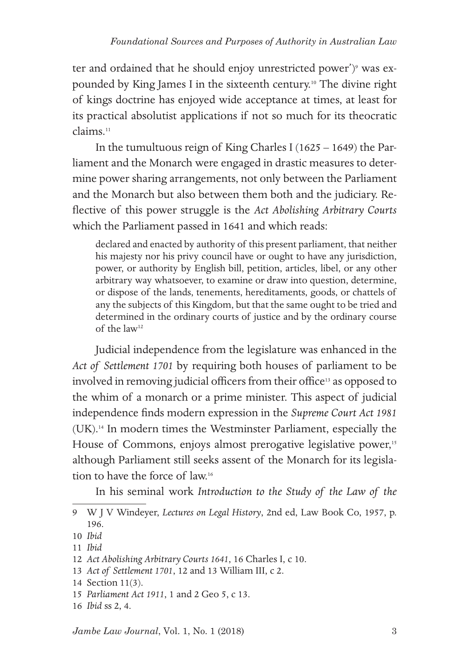ter and ordained that he should enjoy unrestricted power')<sup>9</sup> was expounded by King James I in the sixteenth century.10 The divine right of kings doctrine has enjoyed wide acceptance at times, at least for its practical absolutist applications if not so much for its theocratic claims<sup>11</sup>

In the tumultuous reign of King Charles I (1625 – 1649) the Parliament and the Monarch were engaged in drastic measures to determine power sharing arrangements, not only between the Parliament and the Monarch but also between them both and the judiciary. Reflective of this power struggle is the *Act Abolishing Arbitrary Courts* which the Parliament passed in 1641 and which reads:

declared and enacted by authority of this present parliament, that neither his majesty nor his privy council have or ought to have any jurisdiction, power, or authority by English bill, petition, articles, libel, or any other arbitrary way whatsoever, to examine or draw into question, determine, or dispose of the lands, tenements, hereditaments, goods, or chattels of any the subjects of this Kingdom, but that the same ought to be tried and determined in the ordinary courts of justice and by the ordinary course of the law12

Judicial independence from the legislature was enhanced in the *Act of Settlement 1701* by requiring both houses of parliament to be involved in removing judicial officers from their office<sup>13</sup> as opposed to the whim of a monarch or a prime minister. This aspect of judicial independence finds modern expression in the *Supreme Court Act 1981* (UK).14 In modern times the Westminster Parliament, especially the House of Commons, enjoys almost prerogative legislative power,<sup>15</sup> although Parliament still seeks assent of the Monarch for its legislation to have the force of law<sup>16</sup>

In his seminal work *Introduction to the Study of the Law of the* 

13 *Act of Settlement 1701*, 12 and 13 William III, c 2.

<sup>9</sup> W J V Windeyer, *Lectures on Legal History*, 2nd ed, Law Book Co, 1957, p. 196.

<sup>10</sup> *Ibid*

<sup>11</sup> *Ibid*

<sup>12</sup> *Act Abolishing Arbitrary Courts 1641*, 16 Charles I, c 10.

<sup>14</sup> Section 11(3).

<sup>15</sup> *Parliament Act 1911*, 1 and 2 Geo 5, c 13.

<sup>16</sup> *Ibid* ss 2, 4.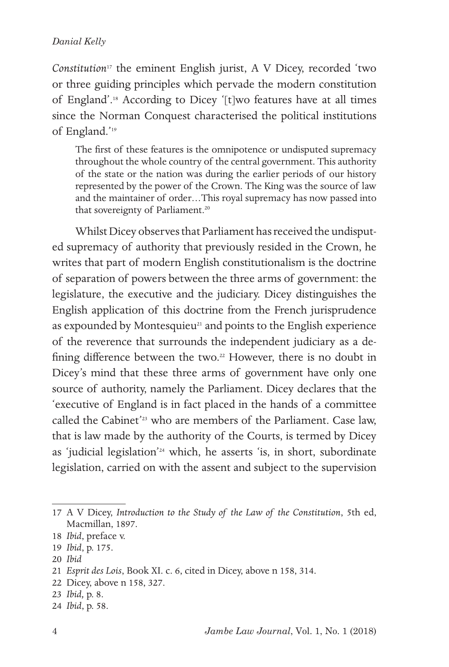*Constitution*17 the eminent English jurist, A V Dicey, recorded 'two or three guiding principles which pervade the modern constitution of England'.18 According to Dicey '[t]wo features have at all times since the Norman Conquest characterised the political institutions of England.'19

The first of these features is the omnipotence or undisputed supremacy throughout the whole country of the central government. This authority of the state or the nation was during the earlier periods of our history represented by the power of the Crown. The King was the source of law and the maintainer of order…This royal supremacy has now passed into that sovereignty of Parliament.<sup>20</sup>

Whilst Dicey observes that Parliament has received the undisputed supremacy of authority that previously resided in the Crown, he writes that part of modern English constitutionalism is the doctrine of separation of powers between the three arms of government: the legislature, the executive and the judiciary. Dicey distinguishes the English application of this doctrine from the French jurisprudence as expounded by Montesquieu<sup>21</sup> and points to the English experience of the reverence that surrounds the independent judiciary as a defining difference between the two.<sup>22</sup> However, there is no doubt in Dicey's mind that these three arms of government have only one source of authority, namely the Parliament. Dicey declares that the 'executive of England is in fact placed in the hands of a committee called the Cabinet'<sup>23</sup> who are members of the Parliament. Case law, that is law made by the authority of the Courts, is termed by Dicey as 'judicial legislation'24 which, he asserts 'is, in short, subordinate legislation, carried on with the assent and subject to the supervision

<sup>17</sup> A V Dicey, *Introduction to the Study of the Law of the Constitution*, 5th ed, Macmillan, 1897.

<sup>18</sup> *Ibid*, preface v.

<sup>19</sup> *Ibid*, p. 175.

<sup>20</sup> *Ibid*

<sup>21</sup> *Esprit des Lois*, Book XI. c. 6, cited in Dicey, above n 158, 314.

<sup>22</sup> Dicey, above n 158, 327.

<sup>23</sup> *Ibid,* p. 8.

<sup>24</sup> *Ibid*, p. 58.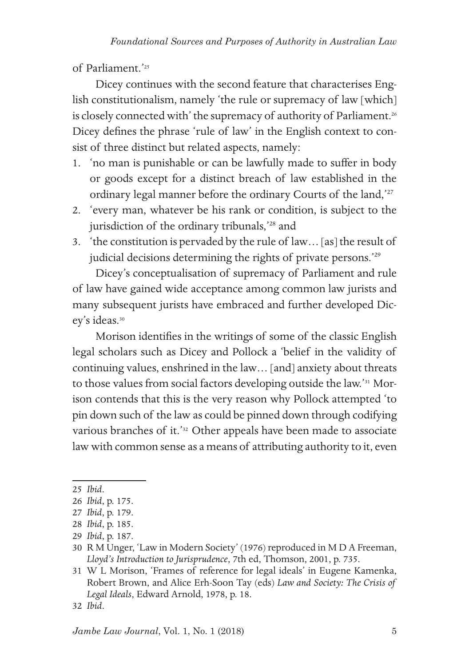of Parliament.'25

Dicey continues with the second feature that characterises English constitutionalism, namely 'the rule or supremacy of law [which] is closely connected with' the supremacy of authority of Parliament.<sup>26</sup> Dicey defines the phrase 'rule of law' in the English context to consist of three distinct but related aspects, namely:

- 1. 'no man is punishable or can be lawfully made to suffer in body or goods except for a distinct breach of law established in the ordinary legal manner before the ordinary Courts of the land,'27
- 2. 'every man, whatever be his rank or condition, is subject to the jurisdiction of the ordinary tribunals,'28 and
- 3. 'the constitution is pervaded by the rule of law… [as] the result of judicial decisions determining the rights of private persons.<sup>'29</sup>

Dicey's conceptualisation of supremacy of Parliament and rule of law have gained wide acceptance among common law jurists and many subsequent jurists have embraced and further developed Dicey's ideas.<sup>30</sup>

Morison identifies in the writings of some of the classic English legal scholars such as Dicey and Pollock a 'belief in the validity of continuing values, enshrined in the law… [and] anxiety about threats to those values from social factors developing outside the law.'31 Morison contends that this is the very reason why Pollock attempted 'to pin down such of the law as could be pinned down through codifying various branches of it.'32 Other appeals have been made to associate law with common sense as a means of attributing authority to it, even

<sup>25</sup> *Ibid*.

<sup>26</sup> *Ibid*, p. 175.

<sup>27</sup> *Ibid*, p. 179.

<sup>28</sup> *Ibid*, p. 185.

<sup>29</sup> *Ibid*, p. 187.

<sup>30</sup> R M Unger, 'Law in Modern Society' (1976) reproduced in M D A Freeman, *Lloyd's Introduction to Jurisprudence*, 7th ed, Thomson, 2001, p. 735.

<sup>31</sup> W L Morison, 'Frames of reference for legal ideals' in Eugene Kamenka, Robert Brown, and Alice Erh-Soon Tay (eds) *Law and Society: The Crisis of Legal Ideals*, Edward Arnold, 1978, p. 18.

<sup>32</sup> *Ibid*.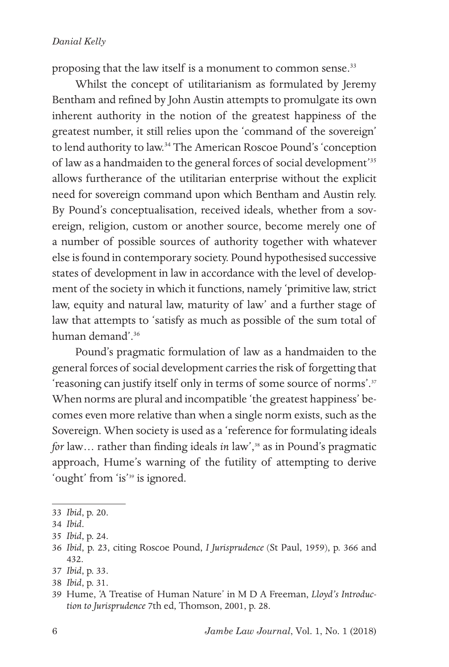proposing that the law itself is a monument to common sense.<sup>33</sup>

Whilst the concept of utilitarianism as formulated by Jeremy Bentham and refined by John Austin attempts to promulgate its own inherent authority in the notion of the greatest happiness of the greatest number, it still relies upon the 'command of the sovereign' to lend authority to law.<sup>34</sup> The American Roscoe Pound's 'conception of law as a handmaiden to the general forces of social development'35 allows furtherance of the utilitarian enterprise without the explicit need for sovereign command upon which Bentham and Austin rely. By Pound's conceptualisation, received ideals, whether from a sovereign, religion, custom or another source, become merely one of a number of possible sources of authority together with whatever else is found in contemporary society. Pound hypothesised successive states of development in law in accordance with the level of development of the society in which it functions, namely 'primitive law, strict law, equity and natural law, maturity of law' and a further stage of law that attempts to 'satisfy as much as possible of the sum total of human demand'.36

Pound's pragmatic formulation of law as a handmaiden to the general forces of social development carries the risk of forgetting that 'reasoning can justify itself only in terms of some source of norms'.37 When norms are plural and incompatible 'the greatest happiness' becomes even more relative than when a single norm exists, such as the Sovereign. When society is used as a 'reference for formulating ideals *for* law... rather than finding ideals *in* law',<sup>38</sup> as in Pound's pragmatic approach, Hume's warning of the futility of attempting to derive 'ought' from 'is'39 is ignored.

38 *Ibid*, p. 31.

<sup>33</sup> *Ibid*, p. 20.

<sup>34</sup> *Ibid*.

<sup>35</sup> *Ibid*, p. 24.

<sup>36</sup> *Ibid*, p. 23, citing Roscoe Pound, *I Jurisprudence* (St Paul, 1959), p. 366 and 432.

<sup>37</sup> *Ibid*, p. 33.

<sup>39</sup> Hume, 'A Treatise of Human Nature' in M D A Freeman, *Lloyd's Introduction to Jurisprudence* 7th ed, Thomson, 2001, p. 28.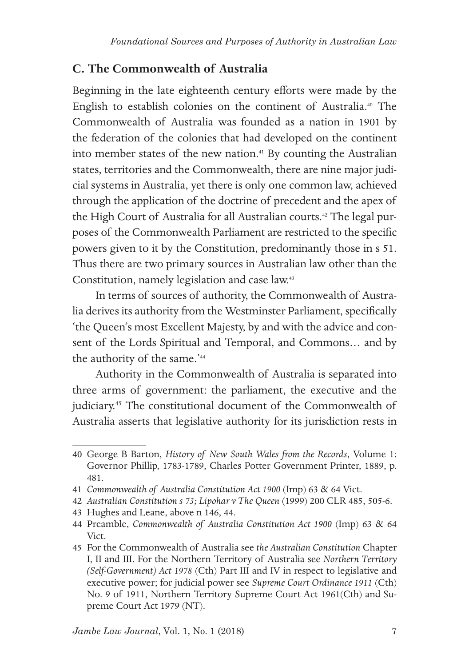### **C. The Commonwealth of Australia**

Beginning in the late eighteenth century efforts were made by the English to establish colonies on the continent of Australia.40 The Commonwealth of Australia was founded as a nation in 1901 by the federation of the colonies that had developed on the continent into member states of the new nation.<sup>41</sup> By counting the Australian states, territories and the Commonwealth, there are nine major judicial systems in Australia, yet there is only one common law, achieved through the application of the doctrine of precedent and the apex of the High Court of Australia for all Australian courts.<sup>42</sup> The legal purposes of the Commonwealth Parliament are restricted to the specific powers given to it by the Constitution, predominantly those in s 51. Thus there are two primary sources in Australian law other than the Constitution, namely legislation and case law.43

In terms of sources of authority, the Commonwealth of Australia derives its authority from the Westminster Parliament, specifically 'the Queen's most Excellent Majesty, by and with the advice and consent of the Lords Spiritual and Temporal, and Commons… and by the authority of the same.'<sup>44</sup>

Authority in the Commonwealth of Australia is separated into three arms of government: the parliament, the executive and the judiciary.45 The constitutional document of the Commonwealth of Australia asserts that legislative authority for its jurisdiction rests in

<sup>40</sup> George B Barton, *History of New South Wales from the Records*, Volume 1: Governor Phillip, 1783-1789, Charles Potter Government Printer, 1889, p. 481.

<sup>41</sup> *Commonwealth of Australia Constitution Act 1900* (Imp) 63 & 64 Vict.

<sup>42</sup> *Australian Constitution s 73; Lipohar v The Queen* (1999) 200 CLR 485, 505-6.

<sup>43</sup> Hughes and Leane, above n 146, 44.

<sup>44</sup> Preamble, *Commonwealth of Australia Constitution Act 1900* (Imp) 63 & 64 Vict.

<sup>45</sup> For the Commonwealth of Australia see *the Australian Constitution* Chapter I, II and III. For the Northern Territory of Australia see *Northern Territory (Self-Government) Act 1978* (Cth) Part III and IV in respect to legislative and executive power; for judicial power see *Supreme Court Ordinance 1911* (Cth) No. 9 of 1911, Northern Territory Supreme Court Act 1961(Cth) and Supreme Court Act 1979 (NT).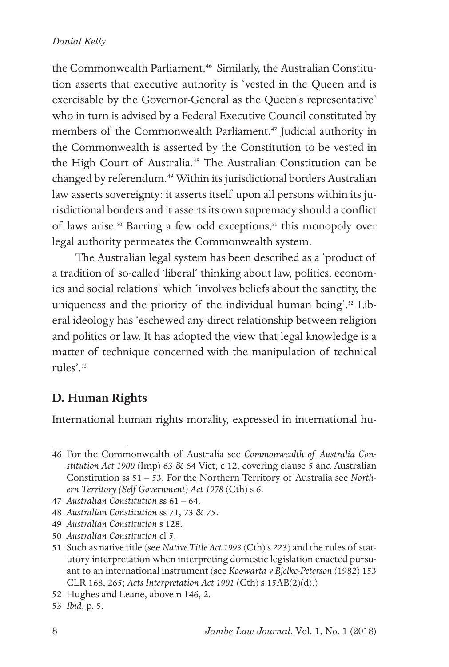the Commonwealth Parliament.<sup>46</sup> Similarly, the Australian Constitution asserts that executive authority is 'vested in the Queen and is exercisable by the Governor-General as the Queen's representative' who in turn is advised by a Federal Executive Council constituted by members of the Commonwealth Parliament.<sup>47</sup> Judicial authority in the Commonwealth is asserted by the Constitution to be vested in the High Court of Australia.<sup>48</sup> The Australian Constitution can be changed by referendum.<sup>49</sup> Within its jurisdictional borders Australian law asserts sovereignty: it asserts itself upon all persons within its jurisdictional borders and it asserts its own supremacy should a conflict of laws arise.50 Barring a few odd exceptions,51 this monopoly over legal authority permeates the Commonwealth system.

The Australian legal system has been described as a 'product of a tradition of so-called 'liberal' thinking about law, politics, economics and social relations' which 'involves beliefs about the sanctity, the uniqueness and the priority of the individual human being'.<sup>52</sup> Liberal ideology has 'eschewed any direct relationship between religion and politics or law. It has adopted the view that legal knowledge is a matter of technique concerned with the manipulation of technical rules'.53

# **D. Human Rights**

International human rights morality, expressed in international hu-

<sup>46</sup> For the Commonwealth of Australia see *Commonwealth of Australia Constitution Act 1900* (Imp) 63 & 64 Vict, c 12, covering clause 5 and Australian Constitution ss 51 – 53. For the Northern Territory of Australia see *Northern Territory (Self-Government) Act 1978* (Cth) s 6.

<sup>47</sup> *Australian Constitution* ss 61 – 64.

<sup>48</sup> *Australian Constitution* ss 71, 73 & 75.

<sup>49</sup> *Australian Constitution* s 128.

<sup>50</sup> *Australian Constitution* cl 5.

<sup>51</sup> Such as native title (see *Native Title Act 1993* (Cth) s 223) and the rules of statutory interpretation when interpreting domestic legislation enacted pursuant to an international instrument (see *Koowarta v Bjelke-Peterson* (1982) 153 CLR 168, 265; *Acts Interpretation Act 1901* (Cth) s 15AB(2)(d).)

<sup>52</sup> Hughes and Leane, above n 146, 2.

<sup>53</sup> *Ibid*, p. 5.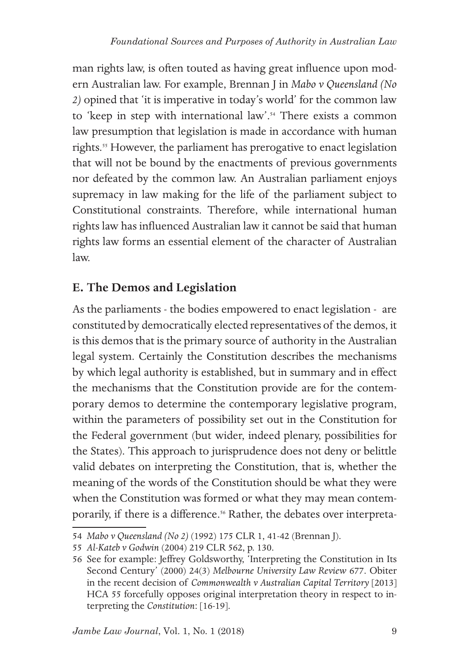man rights law, is often touted as having great influence upon modern Australian law. For example, Brennan J in *Mabo v Queensland (No 2)* opined that 'it is imperative in today's world' for the common law to 'keep in step with international law'.<sup>54</sup> There exists a common law presumption that legislation is made in accordance with human rights.<sup>55</sup> However, the parliament has prerogative to enact legislation that will not be bound by the enactments of previous governments nor defeated by the common law. An Australian parliament enjoys supremacy in law making for the life of the parliament subject to Constitutional constraints. Therefore, while international human rights law has influenced Australian law it cannot be said that human rights law forms an essential element of the character of Australian law.

# **E. The Demos and Legislation**

As the parliaments - the bodies empowered to enact legislation - are constituted by democratically elected representatives of the demos, it is this demos that is the primary source of authority in the Australian legal system. Certainly the Constitution describes the mechanisms by which legal authority is established, but in summary and in effect the mechanisms that the Constitution provide are for the contemporary demos to determine the contemporary legislative program, within the parameters of possibility set out in the Constitution for the Federal government (but wider, indeed plenary, possibilities for the States). This approach to jurisprudence does not deny or belittle valid debates on interpreting the Constitution, that is, whether the meaning of the words of the Constitution should be what they were when the Constitution was formed or what they may mean contemporarily, if there is a difference.<sup>56</sup> Rather, the debates over interpreta-

<sup>54</sup> *Mabo v Queensland (No 2)* (1992) 175 CLR 1, 41-42 (Brennan J).

<sup>55</sup> *Al-Kateb v Godwin* (2004) 219 CLR 562, p. 130.

<sup>56</sup> See for example: Jeffrey Goldsworthy, 'Interpreting the Constitution in Its Second Century' (2000) 24(3) *Melbourne University Law Review* 677. Obiter in the recent decision of *Commonwealth v Australian Capital Territory* [2013] HCA 55 forcefully opposes original interpretation theory in respect to interpreting the *Constitution*: [16-19].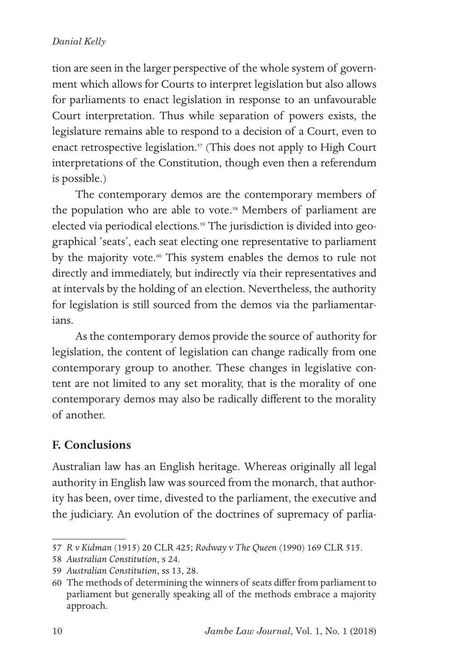tion are seen in the larger perspective of the whole system of government which allows for Courts to interpret legislation but also allows for parliaments to enact legislation in response to an unfavourable Court interpretation. Thus while separation of powers exists, the legislature remains able to respond to a decision of a Court, even to enact retrospective legislation.<sup>57</sup> (This does not apply to High Court interpretations of the Constitution, though even then a referendum is possible.)

The contemporary demos are the contemporary members of the population who are able to vote.<sup>58</sup> Members of parliament are elected via periodical elections.<sup>59</sup> The jurisdiction is divided into geographical 'seats', each seat electing one representative to parliament by the majority vote.<sup>60</sup> This system enables the demos to rule not directly and immediately, but indirectly via their representatives and at intervals by the holding of an election. Nevertheless, the authority for legislation is still sourced from the demos via the parliamentarians.

As the contemporary demos provide the source of authority for legislation, the content of legislation can change radically from one contemporary group to another. These changes in legislative content are not limited to any set morality, that is the morality of one contemporary demos may also be radically different to the morality of another.

# **F. Conclusions**

Australian law has an English heritage. Whereas originally all legal authority in English law was sourced from the monarch, that authority has been, over time, divested to the parliament, the executive and the judiciary. An evolution of the doctrines of supremacy of parlia-

<sup>57</sup> *R v Kidman* (1915) 20 CLR 425; *Rodway v The Queen* (1990) 169 CLR 515.

<sup>58</sup> *Australian Constitution*, s 24.

<sup>59</sup> *Australian Constitution*, ss 13, 28.

<sup>60</sup> The methods of determining the winners of seats differ from parliament to parliament but generally speaking all of the methods embrace a majority approach.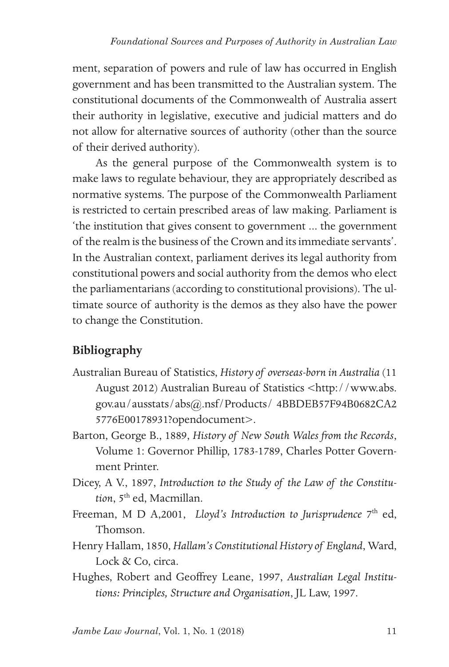ment, separation of powers and rule of law has occurred in English government and has been transmitted to the Australian system. The constitutional documents of the Commonwealth of Australia assert their authority in legislative, executive and judicial matters and do not allow for alternative sources of authority (other than the source of their derived authority).

As the general purpose of the Commonwealth system is to make laws to regulate behaviour, they are appropriately described as normative systems. The purpose of the Commonwealth Parliament is restricted to certain prescribed areas of law making. Parliament is 'the institution that gives consent to government ... the government of the realm is the business of the Crown and its immediate servants'. In the Australian context, parliament derives its legal authority from constitutional powers and social authority from the demos who elect the parliamentarians (according to constitutional provisions). The ultimate source of authority is the demos as they also have the power to change the Constitution.

# **Bibliography**

- Australian Bureau of Statistics, *History of overseas-born in Australia* (11 August 2012) Australian Bureau of Statistics <http://www.abs. gov.au/ausstats/abs@.nsf/Products/ 4BBDEB57F94B0682CA2 5776E00178931?opendocument>.
- Barton, George B., 1889, *History of New South Wales from the Records*, Volume 1: Governor Phillip, 1783-1789, Charles Potter Government Printer.
- Dicey, A V., 1897, *Introduction to the Study of the Law of the Constitu*tion, 5<sup>th</sup> ed, Macmillan.
- Freeman, M D A,2001, *Lloyd's Introduction to Jurisprudence* 7<sup>th</sup> ed, Thomson.
- Henry Hallam, 1850, *Hallam's Constitutional History of England*, Ward, Lock & Co, circa.
- Hughes, Robert and Geoffrey Leane, 1997, *Australian Legal Institutions: Principles, Structure and Organisation*, JL Law, 1997.